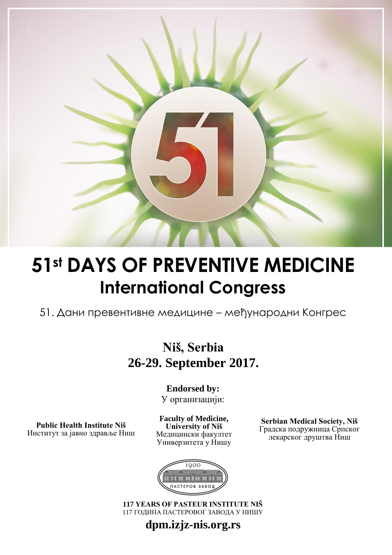

# **51st DAYS OF PREVENTIVE MEDICINE International Congress**

51. Дани превентивне медицине – међународни Конгрес

## **Niš, Serbia 26-29. September 2017.**

**Endorsed by:** У организацији:

**Public Health Institute Niš** Институт за јавно здравље Ниш

**Faculty of Medicine, University of Niš** Медицински факултет Универзитета у Нишу

**Serbian Medical Society, Niš** Градска подружница Српског лекарског друштва Ниш



**117 YEARS OF PASTEUR INSTITUTE NIŠ** 117 ГОДИНА ПАСТЕРОВОГ ЗАВОДА У НИШУ

### **dpm.izjz-nis.org.rs**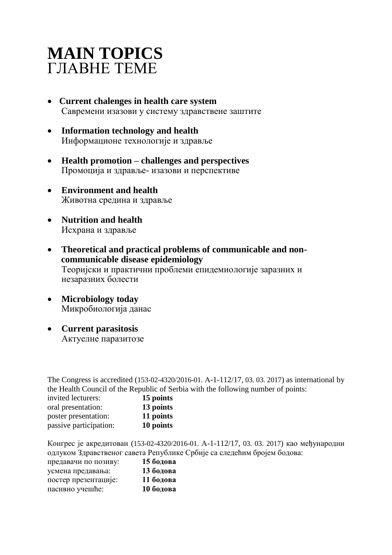## **MAIN TOPICS** ГЛАВНЕ ТЕМЕ

- **Current chalenges in health care system** Савремени изазови у систему здравствене заштите
- **Information technology and health** Информационе технологије и здравље
- **Health promotion – challenges and perspectives**  Промоција и здравље- изазови и перспективе
- **Environment and health** Животна средина и здравље
- **Nutrition and health** Исхрана и здравље
- **Theoretical and practical problems of communicable and non communicable disease epidemiology** Теоријски и практични проблеми епидемиологије заразних и незаразних болести
- **Microbiology today** Микробиологија данас
- **Current parasitosis** Актуелне паразитозе

The Congress is accredited (153-02-4320/2016-01. А-1-112/17, 03. 03. 2017) as international by the Health Council of the Republic of Serbia with the following number of points:

| invited lecturers:     | 15 points |
|------------------------|-----------|
| oral presentation:     | 13 points |
| poster presentation:   | 11 points |
| passive participation: | 10 points |

Конгрес је акредитован (153-02-4320/2016-01. А-1-112/17, 03. 03. 2017) као међународни одлуком Здравственог савета Републике Србије са следећим бројем бодова:

| предавачи по позиву: | 15 бодова |
|----------------------|-----------|
| усмена предавања:    | 13 бодова |
| постер презентације: | 11 бодова |
| пасивно учешће:      | 10 бодова |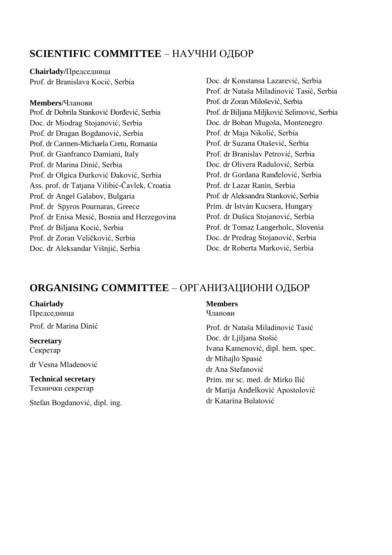### **SCIENTIFIC COMMITTEE** – НАУЧНИ ОДБОР

**Chairlady/**Председница Prof. dr Branislava Kocić, Serbia

#### **Members/**Чланови

Prof. dr Dobrila Stanković Đorđević, Serbia Doc. dr Miodrag Stojanović, Serbia Prof. dr Dragan Bogdanović, Serbia Prof. dr Carmen-Michaela Cretu, Romania Prof. dr Gianfranco Damiani, Italy Prof. dr Marina Dinić, Serbia Prof. dr Olgica Đurković Đaković, Serbia Ass. prof. dr Tatjana Vilibić-Čavlek, Croatia Prof. dr Angel Galabov, Bulgaria Prof. dr Spyros Pournaras, Greecе Prof. dr Enisa Mesić, Bosnia and Herzegovina Prof. dr Biljana Kocić, Serbia Prof. dr Zoran Veličković, Serbia Doc. dr Aleksandar Višnjić, Serbia

Doc. dr Konstansa Lazarević, Serbia Prof. dr Nataša Miladinović Tasić, Serbia Prof. dr Zoran Milošević, Serbia Prof. dr Biljana Miljković Selimović, Serbia Doc. dr Boban Mugoša, Montenegro Prof. dr Maja Nikolić, Serbia Prof. dr Suzana Otašević, Serbia Prof. dr Branislav Petrović, Serbia Doc. dr Olivera Radulović, Serbia Prof. dr Gordana Ranđelović, Serbia Prof. dr Lazar Ranin, Serbia Prof. dr Aleksandra Stanković, Serbia Prim. dr István Kucsera, Hungary Prof. dr Dušica Stojanović, Serbia Prof. dr Tomaz Langerholc, Slovenia Doc. dr Predrag Stojanović, Serbia Doc. dr Roberta Marković, Serbia

### **ORGANISING COMMITTEE** – ОРГАНИЗАЦИОНИ ОДБОР

#### **Chairlady**

Председница Prof. dr Marina Dinić

**Secretary** Секретар

dr Vesna Mladenović

**Technical secretary** Технички секретар

Stefan Bogdanović, dipl. ing.

#### **Members**

Чланови

Prof. dr Nataša Miladinović Tasić Doc. dr Ljiljana Stošić Ivana Kamenović, dipl. hem. spec. dr Mihajlo Spasić dr Ana Stefanović Prim. mr sc. med. dr Mirko Ilić dr Marija Anđelković Apostolović dr Katarina Bulatović